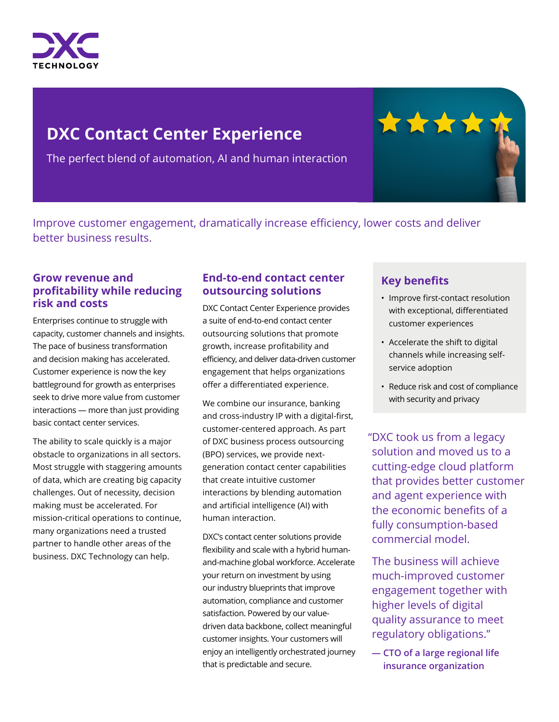

# **DXC Contact Center Experience**

The perfect blend of automation, AI and human interaction

Improve customer engagement, dramatically increase efficiency, lower costs and deliver better business results.

## **Grow revenue and profitability while reducing risk and costs**

Enterprises continue to struggle with capacity, customer channels and insights. The pace of business transformation and decision making has accelerated. Customer experience is now the key battleground for growth as enterprises seek to drive more value from customer interactions — more than just providing basic contact center services.

The ability to scale quickly is a major obstacle to organizations in all sectors. Most struggle with staggering amounts of data, which are creating big capacity challenges. Out of necessity, decision making must be accelerated. For mission-critical operations to continue, many organizations need a trusted partner to handle other areas of the business. DXC Technology can help.

## **End-to-end contact center outsourcing solutions**

DXC Contact Center Experience provides a suite of end-to-end contact center outsourcing solutions that promote growth, increase profitability and efficiency, and deliver data-driven customer engagement that helps organizations offer a differentiated experience.

We combine our insurance, banking and cross-industry IP with a digital-first, customer-centered approach. As part of DXC business process outsourcing (BPO) services, we provide nextgeneration contact center capabilities that create intuitive customer interactions by blending automation and artificial intelligence (AI) with human interaction.

DXC's contact center solutions provide flexibility and scale with a hybrid humanand-machine global workforce. Accelerate your return on investment by using our industry blueprints that improve automation, compliance and customer satisfaction. Powered by our valuedriven data backbone, collect meaningful customer insights. Your customers will enjoy an intelligently orchestrated journey that is predictable and secure.

# **Key benefits**

\*\*\*\*

- Improve first-contact resolution with exceptional, differentiated customer experiences
- Accelerate the shift to digital channels while increasing selfservice adoption
- Reduce risk and cost of compliance with security and privacy

"DXC took us from a legacy solution and moved us to a cutting-edge cloud platform that provides better customer and agent experience with the economic benefits of a fully consumption-based commercial model.

The business will achieve much-improved customer engagement together with higher levels of digital quality assurance to meet regulatory obligations."

**— CTO of a large regional life insurance organization**